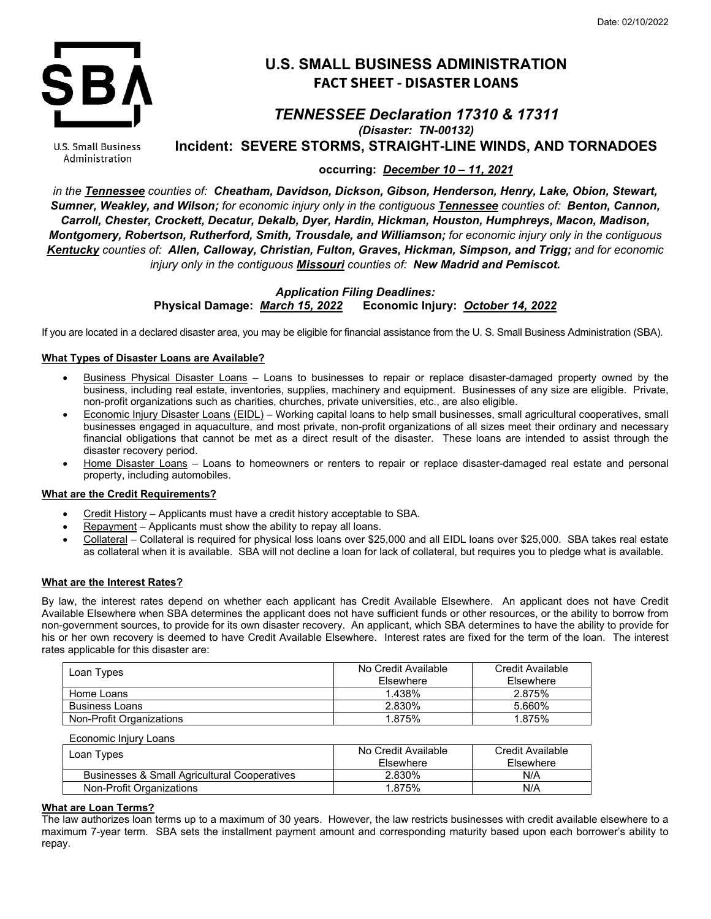

# **U.S. SMALL BUSINESS ADMINISTRATION FACT SHEET - DISASTER LOANS**

# *TENNESSEE Declaration 17310 & 17311 (Disaster: TN-00132)*

U.S. Small Business Administration

**Incident: SEVERE STORMS, STRAIGHT-LINE WINDS, AND TORNADOES**

**occurring:** *December 10 – 11, 2021*

*in the Tennessee counties of: Cheatham, Davidson, Dickson, Gibson, Henderson, Henry, Lake, Obion, Stewart, Sumner, Weakley, and Wilson; for economic injury only in the contiguous Tennessee counties of: Benton, Cannon, Carroll, Chester, Crockett, Decatur, Dekalb, Dyer, Hardin, Hickman, Houston, Humphreys, Macon, Madison, Montgomery, Robertson, Rutherford, Smith, Trousdale, and Williamson; for economic injury only in the contiguous Kentucky counties of: Allen, Calloway, Christian, Fulton, Graves, Hickman, Simpson, and Trigg; and for economic injury only in the contiguous Missouri counties of: New Madrid and Pemiscot.*

# *Application Filing Deadlines:* **Physical Damage:** *March 15, 2022* **Economic Injury:** *October 14, 2022*

If you are located in a declared disaster area, you may be eligible for financial assistance from the U. S. Small Business Administration (SBA).

# **What Types of Disaster Loans are Available?**

- Business Physical Disaster Loans Loans to businesses to repair or replace disaster-damaged property owned by the business, including real estate, inventories, supplies, machinery and equipment. Businesses of any size are eligible. Private, non-profit organizations such as charities, churches, private universities, etc., are also eligible.
- Economic Injury Disaster Loans (EIDL) Working capital loans to help small businesses, small agricultural cooperatives, small businesses engaged in aquaculture, and most private, non-profit organizations of all sizes meet their ordinary and necessary financial obligations that cannot be met as a direct result of the disaster. These loans are intended to assist through the disaster recovery period.
- Home Disaster Loans Loans to homeowners or renters to repair or replace disaster-damaged real estate and personal property, including automobiles.

## **What are the Credit Requirements?**

- Credit History Applicants must have a credit history acceptable to SBA.
- Repayment Applicants must show the ability to repay all loans.
- Collateral Collateral is required for physical loss loans over \$25,000 and all EIDL loans over \$25,000. SBA takes real estate as collateral when it is available. SBA will not decline a loan for lack of collateral, but requires you to pledge what is available.

## **What are the Interest Rates?**

By law, the interest rates depend on whether each applicant has Credit Available Elsewhere. An applicant does not have Credit Available Elsewhere when SBA determines the applicant does not have sufficient funds or other resources, or the ability to borrow from non-government sources, to provide for its own disaster recovery. An applicant, which SBA determines to have the ability to provide for his or her own recovery is deemed to have Credit Available Elsewhere. Interest rates are fixed for the term of the loan. The interest rates applicable for this disaster are:

| Loan Types               | No Credit Available<br>Elsewhere | Credit Available<br>Elsewhere |
|--------------------------|----------------------------------|-------------------------------|
| Home Loans               | 1.438%                           | 2.875%                        |
| <b>Business Loans</b>    | 2.830%                           | 5.660%                        |
| Non-Profit Organizations | 1.875%                           | 1.875%                        |

Economic Injury Loans

| Loan Types                                   | No Credit Available<br>Elsewhere | Credit Available<br>Elsewhere |
|----------------------------------------------|----------------------------------|-------------------------------|
| Businesses & Small Agricultural Cooperatives | 2.830%                           | N/A                           |
| Non-Profit Organizations                     | 1.875%                           | N/A                           |

## **What are Loan Terms?**

The law authorizes loan terms up to a maximum of 30 years. However, the law restricts businesses with credit available elsewhere to a maximum 7-year term. SBA sets the installment payment amount and corresponding maturity based upon each borrower's ability to repay.